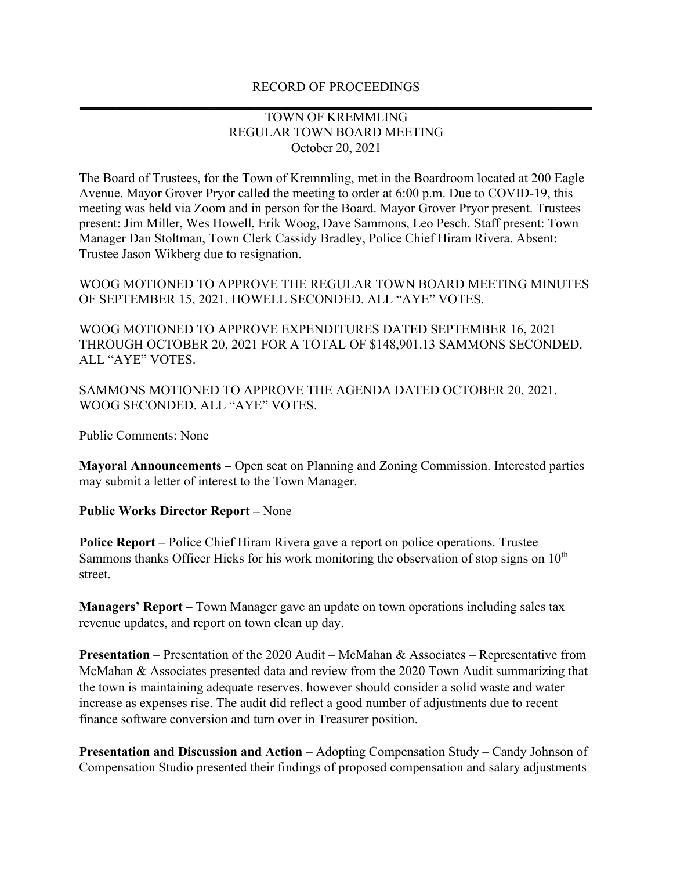## RECORD OF PROCEEDINGS **\_\_\_\_\_\_\_\_\_\_\_\_\_\_\_\_\_\_\_\_\_\_\_\_\_\_\_\_\_\_\_\_\_\_\_\_\_\_\_\_\_\_\_\_\_\_\_\_\_\_\_\_\_\_\_\_\_\_\_\_\_\_\_\_\_\_\_\_\_\_\_\_\_\_\_\_\_\_\_**

## TOWN OF KREMMLING REGULAR TOWN BOARD MEETING October 20, 2021

The Board of Trustees, for the Town of Kremmling, met in the Boardroom located at 200 Eagle Avenue. Mayor Grover Pryor called the meeting to order at 6:00 p.m. Due to COVID-19, this meeting was held via Zoom and in person for the Board. Mayor Grover Pryor present. Trustees present: Jim Miller, Wes Howell, Erik Woog, Dave Sammons, Leo Pesch. Staff present: Town Manager Dan Stoltman, Town Clerk Cassidy Bradley, Police Chief Hiram Rivera. Absent: Trustee Jason Wikberg due to resignation.

WOOG MOTIONED TO APPROVE THE REGULAR TOWN BOARD MEETING MINUTES OF SEPTEMBER 15, 2021. HOWELL SECONDED. ALL "AYE" VOTES.

WOOG MOTIONED TO APPROVE EXPENDITURES DATED SEPTEMBER 16, 2021 THROUGH OCTOBER 20, 2021 FOR A TOTAL OF \$148,901.13 SAMMONS SECONDED. ALL "AYE" VOTES.

SAMMONS MOTIONED TO APPROVE THE AGENDA DATED OCTOBER 20, 2021. WOOG SECONDED. ALL "AYE" VOTES.

Public Comments: None

**Mayoral Announcements –** Open seat on Planning and Zoning Commission. Interested parties may submit a letter of interest to the Town Manager.

## **Public Works Director Report –** None

**Police Report –** Police Chief Hiram Rivera gave a report on police operations. Trustee Sammons thanks Officer Hicks for his work monitoring the observation of stop signs on  $10<sup>th</sup>$ street.

**Managers' Report –** Town Manager gave an update on town operations including sales tax revenue updates, and report on town clean up day.

**Presentation** – Presentation of the 2020 Audit – McMahan & Associates – Representative from McMahan & Associates presented data and review from the 2020 Town Audit summarizing that the town is maintaining adequate reserves, however should consider a solid waste and water increase as expenses rise. The audit did reflect a good number of adjustments due to recent finance software conversion and turn over in Treasurer position.

**Presentation and Discussion and Action** – Adopting Compensation Study – Candy Johnson of Compensation Studio presented their findings of proposed compensation and salary adjustments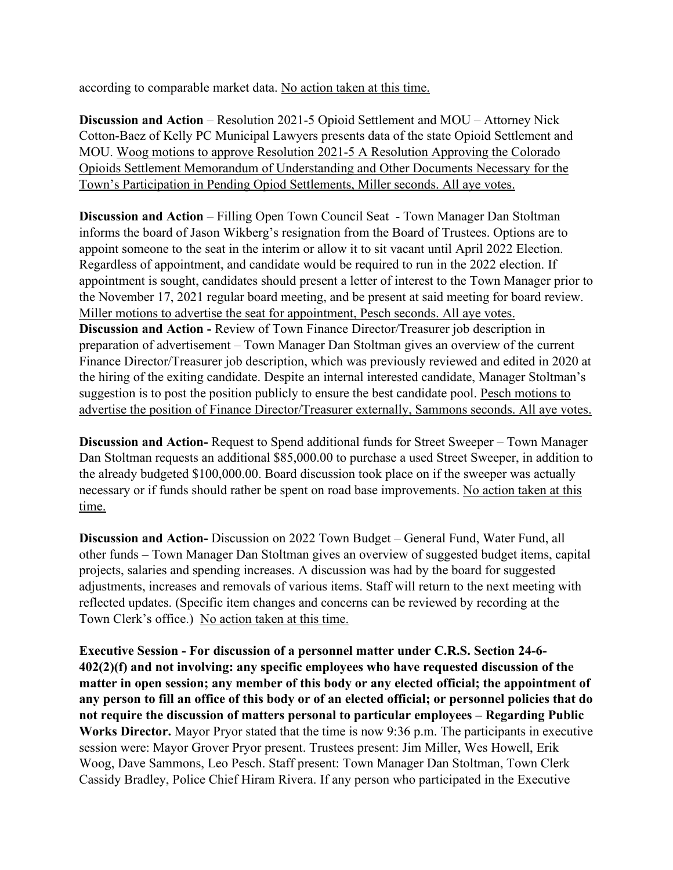according to comparable market data. No action taken at this time.

**Discussion and Action** – Resolution 2021-5 Opioid Settlement and MOU – Attorney Nick Cotton-Baez of Kelly PC Municipal Lawyers presents data of the state Opioid Settlement and MOU. Woog motions to approve Resolution 2021-5 A Resolution Approving the Colorado Opioids Settlement Memorandum of Understanding and Other Documents Necessary for the Town's Participation in Pending Opiod Settlements, Miller seconds. All aye votes.

**Discussion and Action** – Filling Open Town Council Seat - Town Manager Dan Stoltman informs the board of Jason Wikberg's resignation from the Board of Trustees. Options are to appoint someone to the seat in the interim or allow it to sit vacant until April 2022 Election. Regardless of appointment, and candidate would be required to run in the 2022 election. If appointment is sought, candidates should present a letter of interest to the Town Manager prior to the November 17, 2021 regular board meeting, and be present at said meeting for board review. Miller motions to advertise the seat for appointment, Pesch seconds. All aye votes. **Discussion and Action -** Review of Town Finance Director/Treasurer job description in preparation of advertisement – Town Manager Dan Stoltman gives an overview of the current Finance Director/Treasurer job description, which was previously reviewed and edited in 2020 at the hiring of the exiting candidate. Despite an internal interested candidate, Manager Stoltman's suggestion is to post the position publicly to ensure the best candidate pool. Pesch motions to advertise the position of Finance Director/Treasurer externally, Sammons seconds. All aye votes.

**Discussion and Action-** Request to Spend additional funds for Street Sweeper – Town Manager Dan Stoltman requests an additional \$85,000.00 to purchase a used Street Sweeper, in addition to the already budgeted \$100,000.00. Board discussion took place on if the sweeper was actually necessary or if funds should rather be spent on road base improvements. No action taken at this time.

**Discussion and Action-** Discussion on 2022 Town Budget – General Fund, Water Fund, all other funds – Town Manager Dan Stoltman gives an overview of suggested budget items, capital projects, salaries and spending increases. A discussion was had by the board for suggested adjustments, increases and removals of various items. Staff will return to the next meeting with reflected updates. (Specific item changes and concerns can be reviewed by recording at the Town Clerk's office.) No action taken at this time.

**Executive Session - For discussion of a personnel matter under C.R.S. Section 24-6- 402(2)(f) and not involving: any specific employees who have requested discussion of the matter in open session; any member of this body or any elected official; the appointment of any person to fill an office of this body or of an elected official; or personnel policies that do not require the discussion of matters personal to particular employees – Regarding Public Works Director.** Mayor Pryor stated that the time is now 9:36 p.m. The participants in executive session were: Mayor Grover Pryor present. Trustees present: Jim Miller, Wes Howell, Erik Woog, Dave Sammons, Leo Pesch. Staff present: Town Manager Dan Stoltman, Town Clerk Cassidy Bradley, Police Chief Hiram Rivera. If any person who participated in the Executive